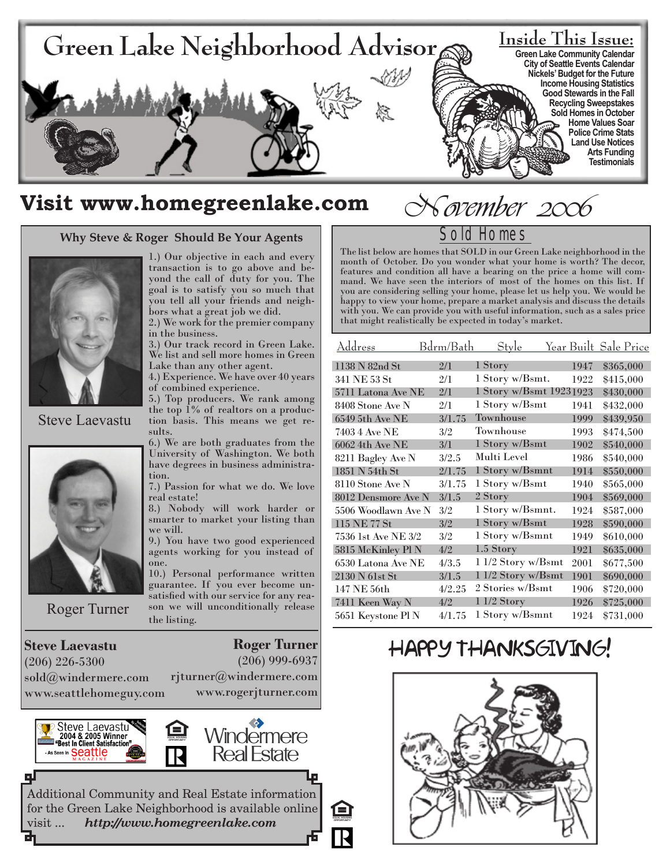

# Visit www.homegreenlake.com November 2006

#### **Why Steve & Roger Should Be Your Agents**



Steve Laevastu



Roger Turner

**Steve Laevastu** (206) 226-5300 sold@windermere.com www.seattlehomeguy.com

1.) Our objective in each and every transaction is to go above and beyond the call of duty for you. The goal is to satisfy you so much that you tell all your friends and neighbors what a great job we did.

2.) We work for the premier company in the business.

3.) Our track record in Green Lake. We list and sell more homes in Green Lake than any other agent.

4.) Experience. We have over 40 years of combined experience.

5.) Top producers. We rank among the top 1% of realtors on a production basis. This means we get results.

6.) We are both graduates from the University of Washington. We both have degrees in business administration.

7.) Passion for what we do. We love real estate!

8.) Nobody will work harder or smarter to market your listing than we will.

9.) You have two good experienced agents working for you instead of one.

10.) Personal performance written guarantee. If you ever become unsatisfied with our service for any reason we will unconditionally release the listing.

**Roger Turner**

(206) 999-6937

rjturner@windermere.com www.rogerjturner.com



ᆗ



Additional Community and Real Estate information for the Green Lake Neighborhood is available online visit ... *http://www.homegreenlake.com*

# Sold Homes

The list below are homes that SOLD in our Green Lake neighborhood in the month of October. Do you wonder what your home is worth? The decor, features and condition all have a bearing on the price a home will command. We have seen the interiors of most of the homes on this list. If you are considering selling your home, please let us help you. We would be happy to view your home, prepare a market analysis and discuss the details with you. We can provide you with useful information, such as a sales price that might realistically be expected in today's market.

| Address             | Bdrm/Bath | Style                   |      | <u>Year Built Sale Price</u> |
|---------------------|-----------|-------------------------|------|------------------------------|
| 1138 N 82nd St      | 2/1       | 1 Story                 | 1947 | \$365,000                    |
| 341 NE 53 St        | 2/1       | 1 Story w/Bsmt.         | 1922 | \$415,000                    |
| 5711 Latona Ave NE  | 2/1       | 1 Story w/Bsmt 19231923 |      | \$430,000                    |
| 8408 Stone Ave N    | 2/1       | 1 Story w/Bsmt          | 1941 | \$432,000                    |
| 6549 5th Ave NE     | 3/1.75    | Townhouse               | 1999 | \$439,950                    |
| 7403 4 Ave NE       | 3/2       | Townhouse               | 1993 | \$474,500                    |
| 6062 4th Ave NE     | 3/1       | 1 Story w/Bsmt          | 1902 | \$540,000                    |
| 8211 Bagley Ave N   | 3/2.5     | Multi Level             | 1986 | \$540,000                    |
| 1851 N 54th St      | 2/1.75    | 1 Story w/Bsmnt         | 1914 | \$550,000                    |
| 8110 Stone Ave N    | 3/1.75    | 1 Story w/Bsmt          | 1940 | \$565,000                    |
| 8012 Densmore Ave N | 3/1.5     | 2 Story                 | 1904 | \$569,000                    |
| 5506 Woodlawn Ave N | 3/2       | 1 Story w/Bsmnt.        | 1924 | \$587,000                    |
| 115 NE 77 St        | 3/2       | 1 Story w/Bsmt          | 1928 | \$590,000                    |
| 7536 1st Ave NE 3/2 | 3/2       | 1 Story w/Bsmnt         | 1949 | \$610,000                    |
| 5815 McKinley Pl N  | 4/2       | 1.5 Story               | 1921 | \$635,000                    |
| 6530 Latona Ave NE  | 4/3.5     | 1 1/2 Story w/Bsmt      | 2001 | \$677,500                    |
| 2130 N 61st St      | 3/1.5     | 1 1/2 Story w/Bsmt      | 1901 | \$690,000                    |
| 147 NE 56th         | 4/2.25    | 2 Stories w/Bsmt        | 1906 | \$720,000                    |
| 7411 Keen Way N     | 4/2       | $11/2$ Story            | 1926 | \$725,000                    |
| 5651 Keystone Pl N  | 4/1.75    | 1 Story w/Bsmnt         | 1924 | \$731,000                    |

# HAPPY THANKSGIVING!

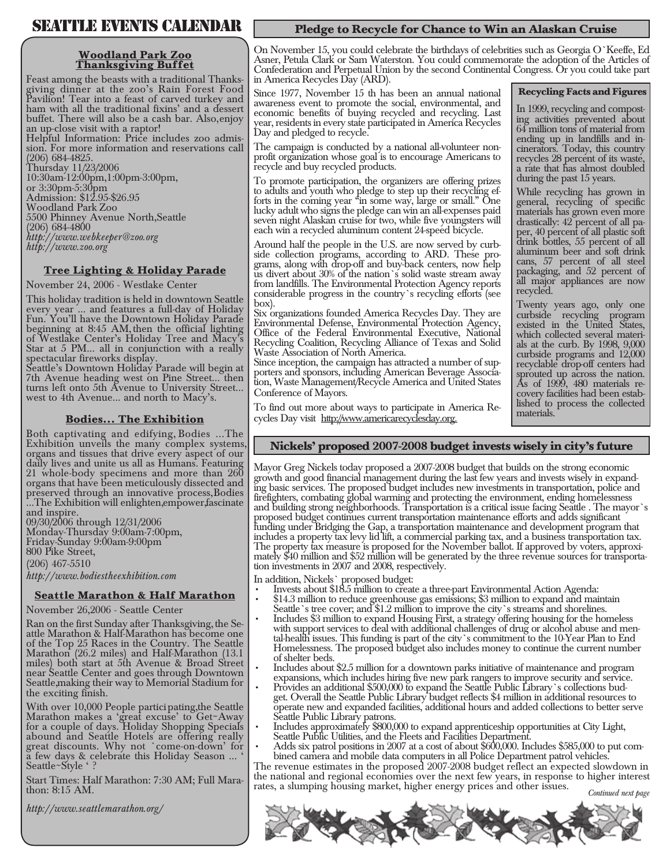# SEAVELLE EVENTS CALENDAR

#### **Woodland Park Zoo Thanksgiving Buffet**

Feast among the beasts with a traditional Thanks- giving dinner at the zoo's Rain Forest Food Pavilion! Tear into a feast of carved turkey and ham with all the traditional fixins' and a dessert buffet. There will also be a cash bar. Also, enjoy

an up-close visit with a raptor!<br>Helpful Information: Price includes zoo admission. For more information and reservations call (206) 684-4825. Thursday 11/23/2006 10:30am-12:00pm, 1:00pm-3:00pm,

or 3:30pm-5:30pm Admission: \$12.95-\$26.95 Woodland Park Zoo 5500 Phinney Avenue North, Seattle (206) 684-4800 *http://www.webkeeper@zoo.org http://www.zoo.org*

#### **Tree Lighting & Holiday Parade**

November 24, 2006 - Westlake Center

This holiday tradition is held in downtown Seattle every year ... and features a full-day of Holiday Fun. You'll have the Downtown Holiday Parade beginning at 8:45 AM, then the official lighting of Westlake Center's Holiday Tree and Macy's Star at 5 PM... all in conjunction with a really spectacular fireworks display.

Seattle's Downtown Holiday Parade will begin at 7th Avenue heading west on Pine Street... then turns left onto 5th Avenue to University Street... west to 4th Avenue... and north to Macy's.

#### **Bodies... The Exhibition**

Both captivating and edifying, Bodies ...The Exhibition unveils the many complex systems, organs and tissues that drive every aspect of our daily lives and unite us all as Humans. Featuring 21 whole-body specimens and more than 260 organs that have been meticulously dissected and preserved through an innovative process, Bodies ...The Exhibition will enlighten, empower, fascinate and inspire.

09/30/2006 through 12/31/2006 Monday-Thursday 9:00am-7:00pm, Friday-Sunday 9:00am-9:00pm 800 Pike Street, (206) 467-5510

*http://www.bodiestheexhibition.com*

#### **Seattle Marathon & Half Marathon**

November 26, 2006 - Seattle Center

Ran on the first Sunday after Thanksgiving, the Se- attle Marathon & Half-Marathon has become one of the Top 25 Races in the Country. The Seattle Marathon (26.2 miles) and Half-Marathon (13.1 miles) both start at 5th Avenue & Broad Street near Seattle Center and goes through Downtown Seattle, making their way to Memorial Stadium for the exciting finish.

With over 10,000 People participating, the Seattle Marathon makes a 'great excuse' to Get~Away for a couple of days. Holiday Shopping Specials abound and Seattle Hotels are offering really great discounts. Why not `come-on-down' for a few days & celebrate this Holiday Season ... ' Seattle~Style ' ?

Start Times: Half Marathon: 7:30 AM; Full Mara- thon: 8:15 AM.

*http://www.seattlemarathon.org/*

### **Pledge to Recycle for Chance to Win an Alaskan Cruise**

On November 15, you could celebrate the birthdays of celebrities such as Georgia O'Keeffe, Ed Asner, Petula Clark or Sam Waterston. You could commemorate the adoption of the Articles of Confederation and Perpetual Union by the second Continental Congress. Or you could take part in America Recycles Day (ARD).

#### **Recycling Facts and Figures**

Since 1977, November 15 th has been an annual national awareness event to promote the social, environmental, and economic benefits of buying recycled and recycling. Last year, residents in every state participated in America Recycles Day and pledged to recycle.

The campaign is conducted by a national all-volunteer non- profit organization whose goal is to encourage Americans to recycle and buy recycled products.

To promote participation, the organizers are offering prizes to adults and youth who pledge to step up their recycling ef- forts in the coming year "in some way, large or small." One lucky adult who signs the pledge can win an all-expenses paid seven night Alaskan cruise for two, while five youngsters will each win a recycled aluminum content 24-speed bicycle.

Around half the people in the U.S. are now served by curb-<br>side collection programs, according to ARD. These pro-<br>grams, along with drop-off and buy-back centers, now help us divert about 30% of the nation's solid waste stream away from landfills. The Environmental Protection Agency reports considerable progress in the country's recycling efforts (see box).

Six organizations founded America Recycles Day. They are Environmental Defense, Environmental Protection Agency, Office of the Federal Environmental Executive, National Recycling Coalition, Recycling Alliance of Texas and Solid

Waste Association of North America.<br>Since inception, the campaign has attracted a number of supporters and sponsors, including American Beverage Associa-<br>tion, Waste Management/Recycle America and United States Conference of Mayors.

To find out more about ways to participate in America Recycles Day visit http://www.americarecyclesday.org.

In 1999, recycling and compost- ing activities prevented about 64 million tons of material from ending up in landfills and in- cinerators. Today, this country recycles 28 percent of its waste, a rate that has almost doubled during the past 15 years.

While recycling has grown in general, recycling of specific materials has grown even more drastically: 42 percent of all pa- per, 40 percent of all plastic soft drink bottles, 55 percent of all aluminum beer and soft drink cans, 57 percent of all steel packaging, and 52 percent of all major appliances are now recycled.

Twenty years ago, only one curbside recycling program existed in the United States, als at the curb. By 1998,  $9,000$ curbside programs and 12,000 recyclable drop-off centers had sprouted up across the nation. As of 1999, 480 materials re- covery facilities had been estab- lished to process the collected lished to process the collected<br>materials.

#### **Nickels' proposed 2007-2008 budget invests wisely in city's future**

Mayor Greg Nickels today proposed a 2007-2008 budget that builds on the strong economic growth and good financial management during the last few years and invests wisely in expand- ing basic services. The proposed budget includes new investments in transportation, police and firefighters, combating global warming and protecting the environment, ending homelessness and building strong neighborhoods. Transportation is a critical issue facing Seattle . The mayor's proposed budget continues current transportation maintenance efforts and adds significant funding under Bridging the Gap, a transportation maintenance and development program that includes a property tax levy lid lift, a commercial parking tax, and a business transportation tax. The property tax measure is proposed for the November ballot. If approved by voters, approximately \$40 million and \$52 million will be generated by the three revenue sources for transportation investments in 2007 and 2008,

- In addition, Nickels` proposed budget:<br>• Invests about \$18.5 million to create a three-part Environmental Action Agenda:
- \$14.3 million to reduce greenhouse gas emissions; \$3 million to expand and maintain Seattle's tree cover; and \$1.2 million to improve the city's streams and shorelines. •
- Includes \$3 million to expand Housing First, a strategy offering housing for the homeless tal-health issues. This funding is part of the city's commitment to the 10-Year Plan to End Homelessness. The proposed budget also includes money to continue the current number of shelter beds. •
- Includes about \$2.5 million for a downtown parks initiative of maintenance and program •
- expansions, which includes hiring five new park rangers to improve security and service. get. Overall the Seattle Public Library' budget reflects \$4 million in additional resources to operate new and expanded facilities, additional hours and added collections to better serve Seattle Public Library patrons. •
- Includes approximately \$800,000 to expand apprenticeship opportunities at City Light, •
- Seattle Public Utilities, and the Fleets and Facilities Department. •

bined camera and mobile data computers in all Police Department patrol vehicles.<br>The revenue estimates in the proposed 2007-2008 budget reflect an expected slowdown in the national and regional economies over the next few years, in response to higher interest rates, a slumping housing market, higher energy prices and other issues. *Continued next page* 

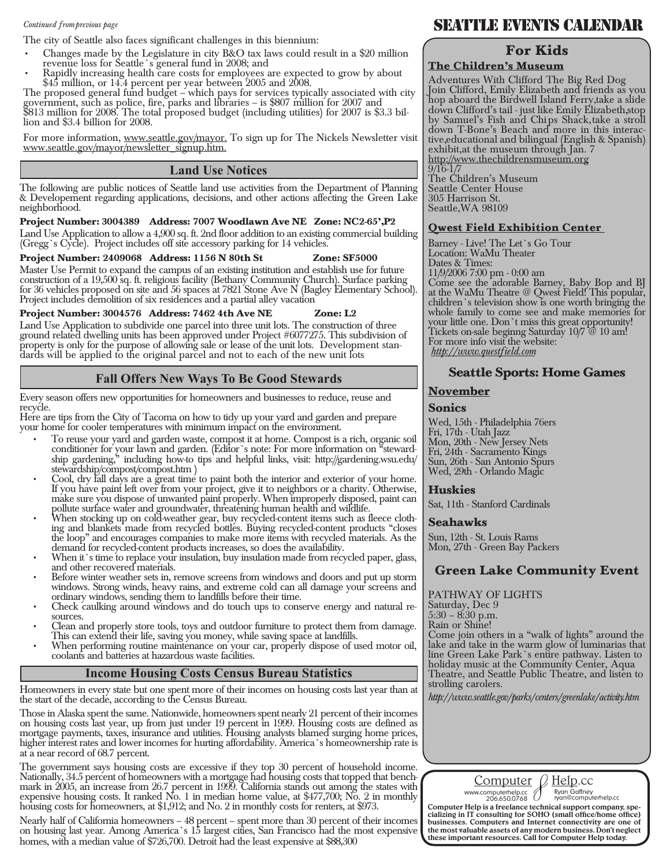#### *Continued from previous page*

The city of Seattle also faces significant challenges in this biennium:

- Changes made by the Legislature in city B&O tax laws could result in a \$20 million revenue loss for Seattle's general fund in 2008; and •
- Rapidly increasing health care costs for employees are expected to grow by about •

\$45 million, or 14.4 percent per year between 2005 and 2008. The proposed general fund budget – which pays for services typically associated with city government, such as police, fire, parks and libraries – is \$807 million for 2007 and \$813 million for 2008. The total proposed budget (including utilities) for 2007 is \$3.3 bil- lion and \$3.4 billion for 2008.

For more information, www.seattle.gov/mayor. To sign up for The Nickels Newsletter visit www.seattle.gov/mayor/newsletter\_signup.htm.

#### **Land Use Notices**

The following are public notices of Seattle land use activities from the Department of Planning & Developement regarding applications, decisions, and other actions affecting the Green Lake neighborhood.

#### **Project Number: 3004389 Address: 7007 Woodlawn Ave NE Zone: NC2-65', P2**

Land Use Application to allow a 4,900 sq. ft. 2nd floor addition to an existing commercial building (Gregg's Cycle). Project includes off site accessory parking for 14 vehicles.

#### **Project Number: 2409068 Address: 1156 N 80th St Zone: SF5000**

Master Use Permit to expand the campus of an existing institution and establish use for future construction of a 19,500 sq. ft. religious facility (Bethany Community Church). Surface parking for 36 vehicles proposed on site and 56 spaces at 7821 Stone Ave N (Bagley Elementary School). Project includes demolition of six residences and a partial alley vacation

#### **Project Number: 3004576 Address: 7462 4th Ave NE Zone: L2**

Land Use Application to subdivide one parcel into three unit lots. The construction of three ground related dwelling units has been approved under Project #6077275. This subdivision of property is only for the purpose of allowing sale or lease of the unit lots. Development stan- dards will be applied to the original parcel and not to each of the new unit lots

#### **Fall Offers New Ways To Be Good Stewards**

Every season offers new opportunities for homeowners and businesses to reduce, reuse and recycle.

Here are tips from the City of Tacoma on how to tidy up your yard and garden and prepare your home for cooler temperatures with minimum impact on the environment.

- To reuse your yard and garden waste, compost it at home. Compost is a rich, organic soil conditioner for your lawn and garden. (Editor's note: For more information on <sup>8</sup>steward- ship gardening," including how-to tips and helpful links, visit: http://gardening.wsu.edu/ stewardship/compost/compost.htm ) •
- Cool, dry fall days are a great time to paint both the interior and exterior of your home. If you have paint left over from your project, give it to neighbors or a charity. Otherwise, make sure you dispose of unwanted paint properly. When improperly disposed, paint can •
- pollute surface water and groundwater, threatening human health and wildlife.<br>When stocking up on cold-weather gear, buy recycled-content items such as fleece clothing and blankets made from recycled bottles. Buying recycled-content products "closes the loop" and encourages companies to make more items with recycled materials. As the demand for recycled-content products increases, so does the availability. •
- When it's time to replace your insulation, buy insulation made from recycled paper, glass, and other recovered materials. •
- Before winter weather sets in, remove screens from windows and doors and put up storm windows. Strong winds, heavy rains, and extreme cold can all damage your screens and ordinary windows, sending them to landfills before their time. •
- Check caulking around windows and do touch ups to conserve energy and natural re-•
- Clean and properly store tools, toys and outdoor furniture to protect them from damage. This can extend their life, saving you money, while saving space at landfills. •

When performing routine maintenance on your car, properly dispose of used motor oil, coolants and batteries at hazardous waste facilities. •

#### **Income Housing Costs Census Bureau Statistics**

Homeowners in every state but one spent more of their incomes on housing costs last year than at the start of the decade, according to the Census Bureau.

Those in Alaska spent the same. Nationwide, homeowners spent nearly 21 percent of their incomes on housing costs last year, up from just under 19 percent in 1999. Housing costs are defined as mortgage payments, taxes, insurance and utilities. Housing analysts blamed surging home prices, higher interest rates and lower incomes for hurting affordability. America's homeownership rate is at a near record of 68.7 percent.

The government says housing costs are excessive if they top 30 percent of household income. Nationally, 34.5 percent of homeowners with a mortgage had housing costs that topped that bench- mark in 2005, an increase from 26.7 percent in 1999. California stands out among the states with expensive housing costs. It ranked No. 1 in median home value, at \$477,700; No. 2 in monthly housing costs for homeowners, at \$1,912; and No. 2 in monthly costs for renters, at \$973.

Nearly half of California homeowners – 48 percent – spent more than 30 percent of their incomes on housing last year. Among America's 15 largest cities, San Francisco had the most expensive homes, with a median value of \$726,700. Detroit had the least expensive at \$88,300

# SEATTLE EVENTS CALENDAR

## **For Kids**

#### **The Children's Museum**

Adventures With Clifford The Big Red Dog Join Clifford, Emily Elizabeth and friends as you hop aboard the Birdwell Island Ferry, take a slide down Clifford's tail - just like Emily Elizabeth, stop by Samuel's Fish and Chips Shack, take a stroll down T-Bone's Beach and more in this interac- tive, educational and bilingual (English & Spanish) exhibit, at the museum through Jan. 7 http://www.thechildrensmuseum.org 9/16-1/7 The Children's Museum

Seattle Center House 305 Harrison St. Seattle, WA 98109

#### **Qwest Field Exhibition Center**

Barney - Live! The Let's Go Tour Location: WaMu Theater Dates & Times: 11/9/2006 7:00 pm - 0:00 am Come see the adorable Barney, Baby Bop and BJ at the WaMu Theatre @ Qwest Field! This popular, children's television show is one worth bringing the whole family to come see and make memories for your little one. Don't miss this great opportunity! Tickets on-sale beginng Saturday 10/7 @ 10 am! For more info visit the website: *http://www.questfield.com*

#### **Seattle Sports: Home Games**

#### **November**

#### **Sonics**

Wed, 15th - Philadelphia 76ers Fri, 17th - Utah Jazz Mon, 20th - New Jersey Nets Fri, 24th - Sacramento Kings Sun, 26th - San Antonio Spurs Wed, 29th - Orlando Magic

#### **Huskies**

Sat, 11th - Stanford Cardinals

#### **Seahawks**

Sun, 12th - St. Louis Rams Mon, 27th - Green Bay Packers

### **Green Lake Community Event**

PATHWAY OF LIGHTS Saturday, Dec 9 5:30 – 8:30 p.m. Rain or Shine! Come join others in a "walk of lights" around the lake and take in the warm glow of luminarias that line Green Lake Park's entire pathway. Listen to holiday music at the Community Center, Aqua Theatre, and Seattle Public Theatre, and listen to strolling carolers.

*http://www.seattle.gov/parks/centers/greenlake/activity.htm*



Computer Help is a freelance technical support company, specializing in IT consulting for SOHO (small office/home office) businesses. Computers and Internet connectivity are one of the most valuable assets of any modern bu